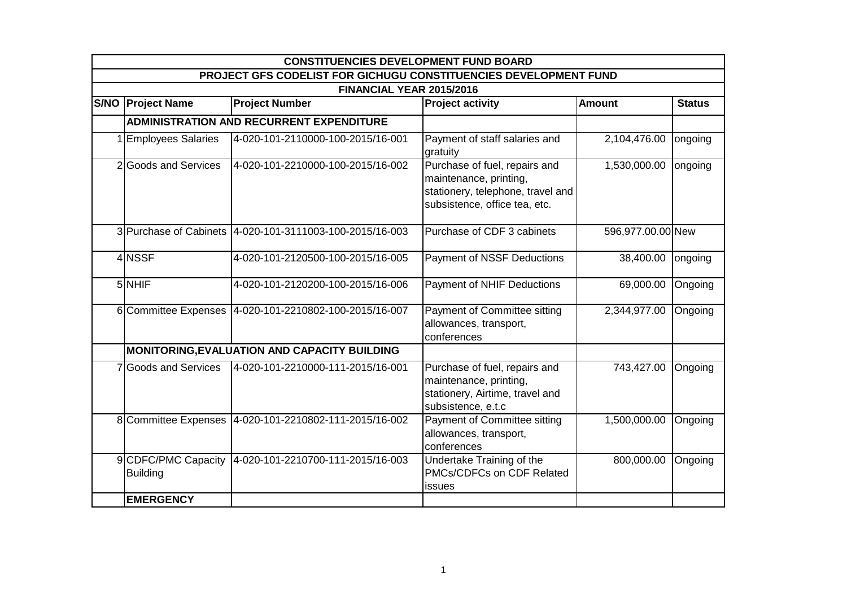| <b>CONSTITUENCIES DEVELOPMENT FUND BOARD</b>                     |                                                          |                                                                                                                               |                   |               |  |  |  |
|------------------------------------------------------------------|----------------------------------------------------------|-------------------------------------------------------------------------------------------------------------------------------|-------------------|---------------|--|--|--|
| PROJECT GFS CODELIST FOR GICHUGU CONSTITUENCIES DEVELOPMENT FUND |                                                          |                                                                                                                               |                   |               |  |  |  |
| FINANCIAL YEAR 2015/2016                                         |                                                          |                                                                                                                               |                   |               |  |  |  |
| <b>S/NO Project Name</b>                                         | <b>Project Number</b>                                    | <b>Project activity</b>                                                                                                       | <b>Amount</b>     | <b>Status</b> |  |  |  |
|                                                                  | <b>ADMINISTRATION AND RECURRENT EXPENDITURE</b>          |                                                                                                                               |                   |               |  |  |  |
| 1 Employees Salaries                                             | 4-020-101-2110000-100-2015/16-001                        | Payment of staff salaries and<br>gratuity                                                                                     | 2,104,476.00      | ongoing       |  |  |  |
| 2 Goods and Services                                             | 4-020-101-2210000-100-2015/16-002                        | Purchase of fuel, repairs and<br>maintenance, printing,<br>stationery, telephone, travel and<br>subsistence, office tea, etc. | 1,530,000.00      | ongoing       |  |  |  |
|                                                                  | 3 Purchase of Cabinets 4-020-101-3111003-100-2015/16-003 | Purchase of CDF 3 cabinets                                                                                                    | 596,977.00.00 New |               |  |  |  |
| 4 NSSF                                                           | 4-020-101-2120500-100-2015/16-005                        | Payment of NSSF Deductions                                                                                                    | 38,400.00         | ongoing       |  |  |  |
| 5 NHIF                                                           | 4-020-101-2120200-100-2015/16-006                        | Payment of NHIF Deductions                                                                                                    | 69,000.00         | Ongoing       |  |  |  |
|                                                                  | 6 Committee Expenses 4-020-101-2210802-100-2015/16-007   | Payment of Committee sitting<br>allowances, transport,<br>conferences                                                         | 2,344,977.00      | Ongoing       |  |  |  |
|                                                                  | MONITORING, EVALUATION AND CAPACITY BUILDING             |                                                                                                                               |                   |               |  |  |  |
| 7 Goods and Services                                             | 4-020-101-2210000-111-2015/16-001                        | Purchase of fuel, repairs and<br>maintenance, printing,<br>stationery, Airtime, travel and<br>subsistence, e.t.c              | 743,427.00        | Ongoing       |  |  |  |
|                                                                  | 8 Committee Expenses 4-020-101-2210802-111-2015/16-002   | <b>Payment of Committee sitting</b><br>allowances, transport,<br>conferences                                                  | 1,500,000.00      | Ongoing       |  |  |  |
| 9 CDFC/PMC Capacity<br><b>Building</b>                           | 4-020-101-2210700-111-2015/16-003                        | Undertake Training of the<br>PMCs/CDFCs on CDF Related<br>issues                                                              | 800,000.00        | Ongoing       |  |  |  |
| <b>EMERGENCY</b>                                                 |                                                          |                                                                                                                               |                   |               |  |  |  |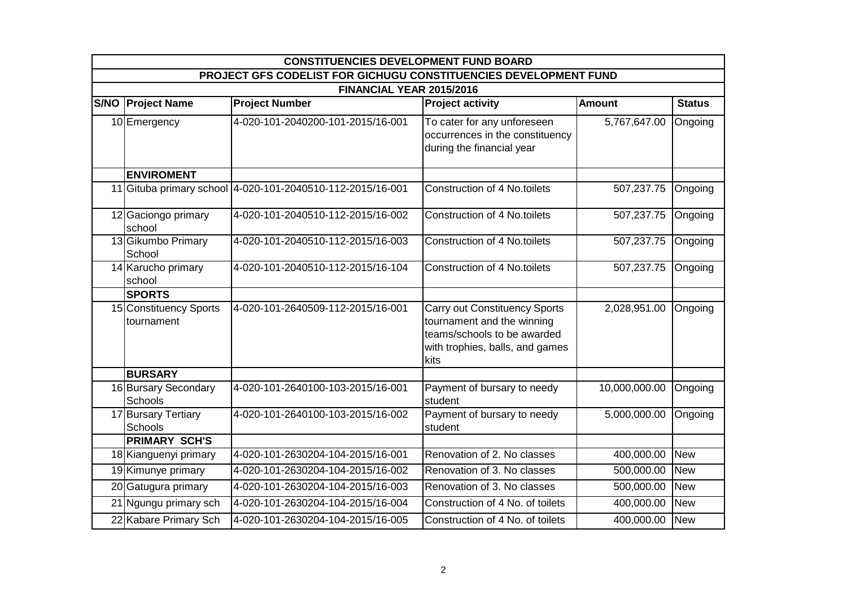|                                                                  | <b>CONSTITUENCIES DEVELOPMENT FUND BOARD</b> |                                   |                                                                                                                                              |               |               |  |  |  |
|------------------------------------------------------------------|----------------------------------------------|-----------------------------------|----------------------------------------------------------------------------------------------------------------------------------------------|---------------|---------------|--|--|--|
| PROJECT GFS CODELIST FOR GICHUGU CONSTITUENCIES DEVELOPMENT FUND |                                              |                                   |                                                                                                                                              |               |               |  |  |  |
|                                                                  | FINANCIAL YEAR 2015/2016                     |                                   |                                                                                                                                              |               |               |  |  |  |
|                                                                  | <b>S/NO Project Name</b>                     | <b>Project Number</b>             | <b>Project activity</b>                                                                                                                      | <b>Amount</b> | <b>Status</b> |  |  |  |
|                                                                  | 10 Emergency                                 | 4-020-101-2040200-101-2015/16-001 | To cater for any unforeseen<br>occurrences in the constituency<br>during the financial year                                                  | 5,767,647.00  | Ongoing       |  |  |  |
|                                                                  | <b>ENVIROMENT</b>                            |                                   |                                                                                                                                              |               |               |  |  |  |
|                                                                  | 11 Gituba primary school                     | 4-020-101-2040510-112-2015/16-001 | <b>Construction of 4 No.toilets</b>                                                                                                          | 507,237.75    | Ongoing       |  |  |  |
|                                                                  | 12 Gaciongo primary<br>school                | 4-020-101-2040510-112-2015/16-002 | <b>Construction of 4 No.toilets</b>                                                                                                          | 507,237.75    | Ongoing       |  |  |  |
|                                                                  | 13 Gikumbo Primary<br>School                 | 4-020-101-2040510-112-2015/16-003 | Construction of 4 No.toilets                                                                                                                 | 507,237.75    | Ongoing       |  |  |  |
|                                                                  | 14 Karucho primary<br>school                 | 4-020-101-2040510-112-2015/16-104 | Construction of 4 No.toilets                                                                                                                 | 507,237.75    | Ongoing       |  |  |  |
|                                                                  | <b>SPORTS</b>                                |                                   |                                                                                                                                              |               |               |  |  |  |
|                                                                  | 15 Constituency Sports<br>tournament         | 4-020-101-2640509-112-2015/16-001 | <b>Carry out Constituency Sports</b><br>tournament and the winning<br>teams/schools to be awarded<br>with trophies, balls, and games<br>kits | 2,028,951.00  | Ongoing       |  |  |  |
|                                                                  | <b>BURSARY</b>                               |                                   |                                                                                                                                              |               |               |  |  |  |
|                                                                  | 16 Bursary Secondary<br>Schools              | 4-020-101-2640100-103-2015/16-001 | Payment of bursary to needy<br>student                                                                                                       | 10,000,000.00 | Ongoing       |  |  |  |
|                                                                  | 17 Bursary Tertiary<br>Schools               | 4-020-101-2640100-103-2015/16-002 | Payment of bursary to needy<br>student                                                                                                       | 5,000,000.00  | Ongoing       |  |  |  |
|                                                                  | <b>PRIMARY SCH'S</b>                         |                                   |                                                                                                                                              |               |               |  |  |  |
|                                                                  | 18 Kianguenyi primary                        | 4-020-101-2630204-104-2015/16-001 | Renovation of 2. No classes                                                                                                                  | 400,000.00    | <b>New</b>    |  |  |  |
|                                                                  | 19 Kimunye primary                           | 4-020-101-2630204-104-2015/16-002 | Renovation of 3. No classes                                                                                                                  | 500,000.00    | <b>New</b>    |  |  |  |
|                                                                  | 20 Gatugura primary                          | 4-020-101-2630204-104-2015/16-003 | Renovation of 3. No classes                                                                                                                  | 500,000.00    | <b>New</b>    |  |  |  |
|                                                                  | 21 Ngungu primary sch                        | 4-020-101-2630204-104-2015/16-004 | Construction of 4 No. of toilets                                                                                                             | 400,000.00    | <b>New</b>    |  |  |  |
|                                                                  | 22 Kabare Primary Sch                        | 4-020-101-2630204-104-2015/16-005 | Construction of 4 No. of toilets                                                                                                             | 400,000.00    | <b>New</b>    |  |  |  |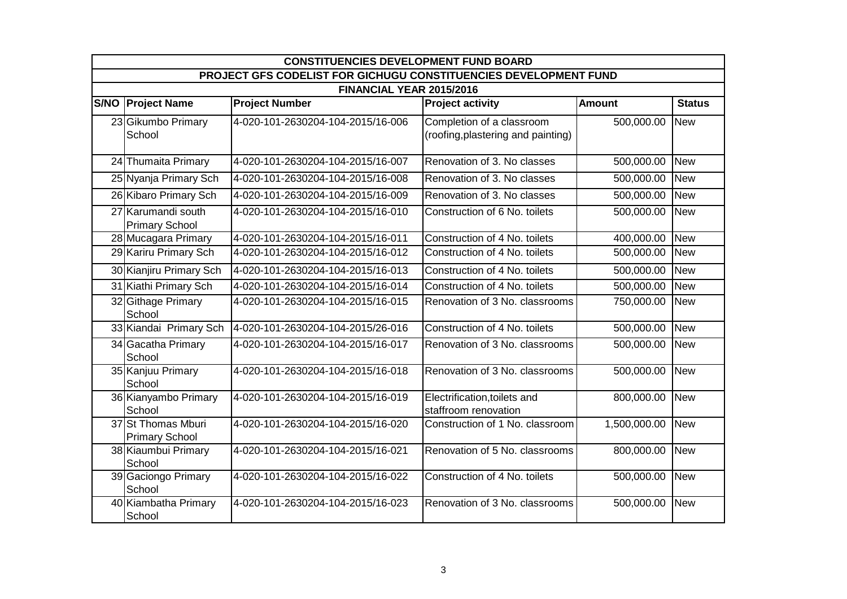| <b>CONSTITUENCIES DEVELOPMENT FUND BOARD</b>                     |                                             |                                   |                                                                 |               |               |  |  |  |
|------------------------------------------------------------------|---------------------------------------------|-----------------------------------|-----------------------------------------------------------------|---------------|---------------|--|--|--|
| PROJECT GFS CODELIST FOR GICHUGU CONSTITUENCIES DEVELOPMENT FUND |                                             |                                   |                                                                 |               |               |  |  |  |
|                                                                  | FINANCIAL YEAR 2015/2016                    |                                   |                                                                 |               |               |  |  |  |
|                                                                  | <b>S/NO Project Name</b>                    | <b>Project Number</b>             | <b>Project activity</b>                                         | <b>Amount</b> | <b>Status</b> |  |  |  |
|                                                                  | 23 Gikumbo Primary<br>School                | 4-020-101-2630204-104-2015/16-006 | Completion of a classroom<br>(roofing, plastering and painting) | 500,000.00    | <b>New</b>    |  |  |  |
|                                                                  | 24 Thumaita Primary                         | 4-020-101-2630204-104-2015/16-007 | Renovation of 3. No classes                                     | 500,000.00    | <b>New</b>    |  |  |  |
|                                                                  | 25 Nyanja Primary Sch                       | 4-020-101-2630204-104-2015/16-008 | Renovation of 3. No classes                                     | 500,000.00    | <b>New</b>    |  |  |  |
|                                                                  | 26 Kibaro Primary Sch                       | 4-020-101-2630204-104-2015/16-009 | Renovation of 3. No classes                                     | 500,000.00    | <b>New</b>    |  |  |  |
|                                                                  | 27 Karumandi south<br><b>Primary School</b> | 4-020-101-2630204-104-2015/16-010 | Construction of 6 No. toilets                                   | 500,000.00    | <b>New</b>    |  |  |  |
|                                                                  | 28 Mucagara Primary                         | 4-020-101-2630204-104-2015/16-011 | Construction of 4 No. toilets                                   | 400,000.00    | <b>New</b>    |  |  |  |
|                                                                  | 29 Kariru Primary Sch                       | 4-020-101-2630204-104-2015/16-012 | Construction of 4 No. toilets                                   | 500,000.00    | <b>New</b>    |  |  |  |
|                                                                  | 30 Kianjiru Primary Sch                     | 4-020-101-2630204-104-2015/16-013 | Construction of 4 No. toilets                                   | 500,000.00    | <b>New</b>    |  |  |  |
|                                                                  | 31 Kiathi Primary Sch                       | 4-020-101-2630204-104-2015/16-014 | Construction of 4 No. toilets                                   | 500,000.00    | <b>New</b>    |  |  |  |
|                                                                  | 32 Githage Primary<br>School                | 4-020-101-2630204-104-2015/16-015 | Renovation of 3 No. classrooms                                  | 750,000.00    | <b>New</b>    |  |  |  |
|                                                                  | 33 Kiandai Primary Sch                      | 4-020-101-2630204-104-2015/26-016 | Construction of 4 No. toilets                                   | 500,000.00    | <b>New</b>    |  |  |  |
|                                                                  | 34 Gacatha Primary<br>School                | 4-020-101-2630204-104-2015/16-017 | Renovation of 3 No. classrooms                                  | 500,000.00    | <b>New</b>    |  |  |  |
|                                                                  | 35 Kanjuu Primary<br>School                 | 4-020-101-2630204-104-2015/16-018 | Renovation of 3 No. classrooms                                  | 500,000.00    | <b>New</b>    |  |  |  |
|                                                                  | 36 Kianyambo Primary<br>School              | 4-020-101-2630204-104-2015/16-019 | Electrification, toilets and<br>staffroom renovation            | 800,000.00    | <b>New</b>    |  |  |  |
|                                                                  | 37 St Thomas Mburi<br><b>Primary School</b> | 4-020-101-2630204-104-2015/16-020 | Construction of 1 No. classroom                                 | 1,500,000.00  | <b>New</b>    |  |  |  |
|                                                                  | 38 Kiaumbui Primary<br>School               | 4-020-101-2630204-104-2015/16-021 | Renovation of 5 No. classrooms                                  | 800,000.00    | <b>New</b>    |  |  |  |
|                                                                  | 39 Gaciongo Primary<br>School               | 4-020-101-2630204-104-2015/16-022 | Construction of 4 No. toilets                                   | 500,000.00    | <b>New</b>    |  |  |  |
|                                                                  | 40 Kiambatha Primary<br>School              | 4-020-101-2630204-104-2015/16-023 | Renovation of 3 No. classrooms                                  | 500,000.00    | <b>New</b>    |  |  |  |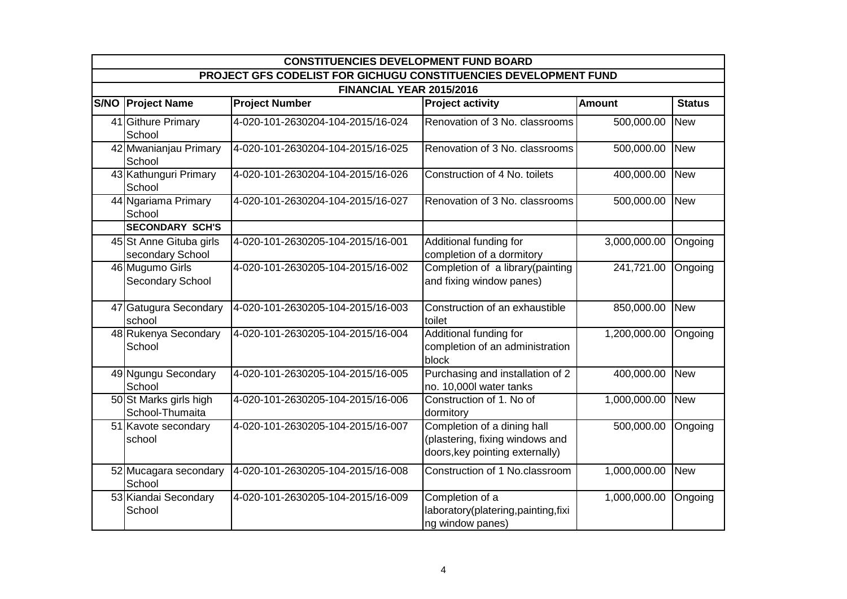|                                                                  | <b>CONSTITUENCIES DEVELOPMENT FUND BOARD</b> |                                   |                                                                                                   |               |               |  |  |  |
|------------------------------------------------------------------|----------------------------------------------|-----------------------------------|---------------------------------------------------------------------------------------------------|---------------|---------------|--|--|--|
| PROJECT GFS CODELIST FOR GICHUGU CONSTITUENCIES DEVELOPMENT FUND |                                              |                                   |                                                                                                   |               |               |  |  |  |
|                                                                  | FINANCIAL YEAR 2015/2016                     |                                   |                                                                                                   |               |               |  |  |  |
|                                                                  | <b>S/NO Project Name</b>                     | <b>Project Number</b>             | <b>Project activity</b>                                                                           | <b>Amount</b> | <b>Status</b> |  |  |  |
|                                                                  | 41 Githure Primary<br>School                 | 4-020-101-2630204-104-2015/16-024 | Renovation of 3 No. classrooms                                                                    | 500,000.00    | <b>New</b>    |  |  |  |
|                                                                  | 42 Mwanianjau Primary<br>School              | 4-020-101-2630204-104-2015/16-025 | Renovation of 3 No. classrooms                                                                    | 500,000.00    | <b>New</b>    |  |  |  |
|                                                                  | 43 Kathunguri Primary<br>School              | 4-020-101-2630204-104-2015/16-026 | Construction of 4 No. toilets                                                                     | 400,000.00    | <b>New</b>    |  |  |  |
|                                                                  | 44 Ngariama Primary<br>School                | 4-020-101-2630204-104-2015/16-027 | Renovation of 3 No. classrooms                                                                    | 500,000.00    | <b>New</b>    |  |  |  |
|                                                                  | <b>SECONDARY SCH'S</b>                       |                                   |                                                                                                   |               |               |  |  |  |
|                                                                  | 45 St Anne Gituba girls<br>secondary School  | 4-020-101-2630205-104-2015/16-001 | Additional funding for<br>completion of a dormitory                                               | 3,000,000.00  | Ongoing       |  |  |  |
|                                                                  | 46 Mugumo Girls<br>Secondary School          | 4-020-101-2630205-104-2015/16-002 | Completion of a library(painting<br>and fixing window panes)                                      | 241,721.00    | Ongoing       |  |  |  |
|                                                                  | 47 Gatugura Secondary<br>school              | 4-020-101-2630205-104-2015/16-003 | Construction of an exhaustible<br>toilet                                                          | 850,000.00    | <b>New</b>    |  |  |  |
|                                                                  | 48 Rukenya Secondary<br>School               | 4-020-101-2630205-104-2015/16-004 | Additional funding for<br>completion of an administration<br>block                                | 1,200,000.00  | Ongoing       |  |  |  |
|                                                                  | 49 Ngungu Secondary<br>School                | 4-020-101-2630205-104-2015/16-005 | Purchasing and installation of 2<br>no. 10,000l water tanks                                       | 400,000.00    | <b>New</b>    |  |  |  |
|                                                                  | 50 St Marks girls high<br>School-Thumaita    | 4-020-101-2630205-104-2015/16-006 | Construction of 1. No of<br>dormitory                                                             | 1,000,000.00  | <b>New</b>    |  |  |  |
|                                                                  | 51 Kavote secondary<br>school                | 4-020-101-2630205-104-2015/16-007 | Completion of a dining hall<br>(plastering, fixing windows and<br>doors, key pointing externally) | 500,000.00    | Ongoing       |  |  |  |
|                                                                  | 52 Mucagara secondary<br>School              | 4-020-101-2630205-104-2015/16-008 | Construction of 1 No.classroom                                                                    | 1,000,000.00  | <b>New</b>    |  |  |  |
|                                                                  | 53 Kiandai Secondary<br>School               | 4-020-101-2630205-104-2015/16-009 | Completion of a<br>laboratory(platering,painting,fixi<br>ng window panes)                         | 1,000,000.00  | Ongoing       |  |  |  |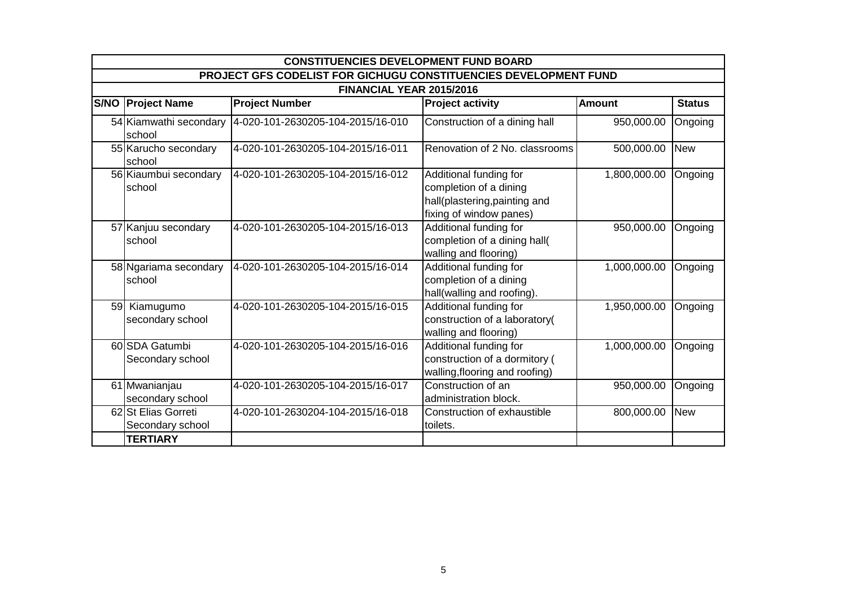|                          | <b>CONSTITUENCIES DEVELOPMENT FUND BOARD</b>                     |                                   |                                                                                                              |               |               |  |  |  |
|--------------------------|------------------------------------------------------------------|-----------------------------------|--------------------------------------------------------------------------------------------------------------|---------------|---------------|--|--|--|
|                          | PROJECT GFS CODELIST FOR GICHUGU CONSTITUENCIES DEVELOPMENT FUND |                                   |                                                                                                              |               |               |  |  |  |
| FINANCIAL YEAR 2015/2016 |                                                                  |                                   |                                                                                                              |               |               |  |  |  |
|                          | <b>S/NO Project Name</b>                                         | <b>Project Number</b>             | <b>Project activity</b>                                                                                      | <b>Amount</b> | <b>Status</b> |  |  |  |
|                          | 54 Kiamwathi secondary<br>school                                 | 4-020-101-2630205-104-2015/16-010 | Construction of a dining hall                                                                                | 950,000.00    | Ongoing       |  |  |  |
|                          | 55 Karucho secondary<br>school                                   | 4-020-101-2630205-104-2015/16-011 | Renovation of 2 No. classrooms                                                                               | 500,000.00    | <b>New</b>    |  |  |  |
|                          | 56 Kiaumbui secondary<br>school                                  | 4-020-101-2630205-104-2015/16-012 | Additional funding for<br>completion of a dining<br>hall(plastering, painting and<br>fixing of window panes) | 1,800,000.00  | Ongoing       |  |  |  |
|                          | 57 Kanjuu secondary<br>school                                    | 4-020-101-2630205-104-2015/16-013 | Additional funding for<br>completion of a dining hall(<br>walling and flooring)                              | 950,000.00    | Ongoing       |  |  |  |
|                          | 58 Ngariama secondary<br>school                                  | 4-020-101-2630205-104-2015/16-014 | Additional funding for<br>completion of a dining<br>hall(walling and roofing).                               | 1,000,000.00  | Ongoing       |  |  |  |
|                          | 59 Kiamugumo<br>secondary school                                 | 4-020-101-2630205-104-2015/16-015 | Additional funding for<br>construction of a laboratory(<br>walling and flooring)                             | 1,950,000.00  | Ongoing       |  |  |  |
|                          | 60 SDA Gatumbi<br>Secondary school                               | 4-020-101-2630205-104-2015/16-016 | Additional funding for<br>construction of a dormitory (<br>walling, flooring and roofing)                    | 1,000,000.00  | Ongoing       |  |  |  |
|                          | 61 Mwanianjau<br>secondary school                                | 4-020-101-2630205-104-2015/16-017 | Construction of an<br>administration block.                                                                  | 950,000.00    | Ongoing       |  |  |  |
|                          | 62 St Elias Gorreti<br>Secondary school                          | 4-020-101-2630204-104-2015/16-018 | Construction of exhaustible<br>toilets.                                                                      | 800,000.00    | <b>New</b>    |  |  |  |
|                          | <b>TERTIARY</b>                                                  |                                   |                                                                                                              |               |               |  |  |  |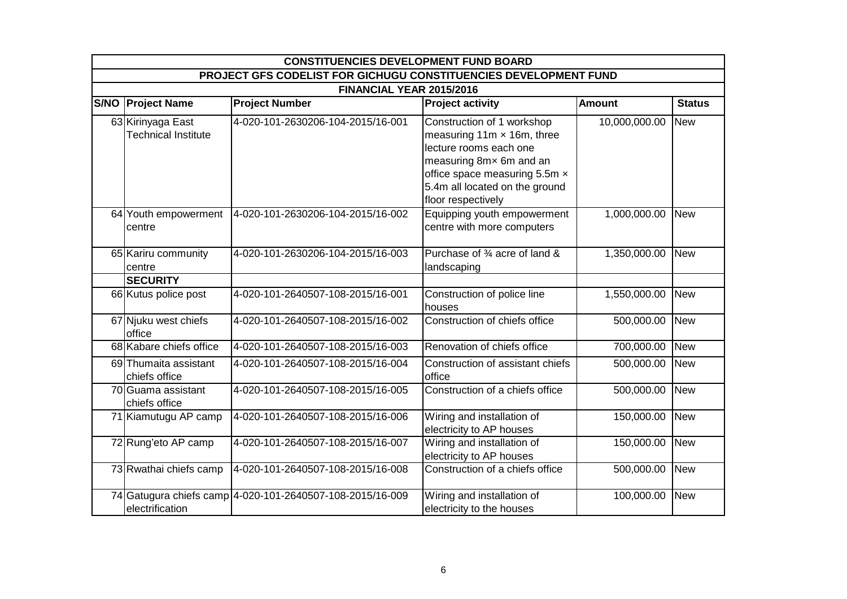|                                                                  | <b>CONSTITUENCIES DEVELOPMENT FUND BOARD</b>    |                                                           |                                                                                                                                                                                                                |               |               |  |  |  |
|------------------------------------------------------------------|-------------------------------------------------|-----------------------------------------------------------|----------------------------------------------------------------------------------------------------------------------------------------------------------------------------------------------------------------|---------------|---------------|--|--|--|
| PROJECT GFS CODELIST FOR GICHUGU CONSTITUENCIES DEVELOPMENT FUND |                                                 |                                                           |                                                                                                                                                                                                                |               |               |  |  |  |
|                                                                  | FINANCIAL YEAR 2015/2016                        |                                                           |                                                                                                                                                                                                                |               |               |  |  |  |
|                                                                  | <b>S/NO Project Name</b>                        | <b>Project Number</b>                                     | <b>Project activity</b>                                                                                                                                                                                        | <b>Amount</b> | <b>Status</b> |  |  |  |
|                                                                  | 63 Kirinyaga East<br><b>Technical Institute</b> | 4-020-101-2630206-104-2015/16-001                         | Construction of 1 workshop<br>measuring $11m \times 16m$ , three<br>lecture rooms each one<br>measuring 8mx 6m and an<br>office space measuring 5.5m x<br>5.4m all located on the ground<br>floor respectively | 10,000,000.00 | <b>New</b>    |  |  |  |
|                                                                  | 64 Youth empowerment<br>centre                  | 4-020-101-2630206-104-2015/16-002                         | Equipping youth empowerment<br>centre with more computers                                                                                                                                                      | 1,000,000.00  | <b>New</b>    |  |  |  |
|                                                                  | 65 Kariru community<br>centre                   | 4-020-101-2630206-104-2015/16-003                         | Purchase of 3⁄4 acre of land &<br>landscaping                                                                                                                                                                  | 1,350,000.00  | <b>New</b>    |  |  |  |
|                                                                  | <b>SECURITY</b>                                 |                                                           |                                                                                                                                                                                                                |               |               |  |  |  |
|                                                                  | 66 Kutus police post                            | 4-020-101-2640507-108-2015/16-001                         | Construction of police line<br>houses                                                                                                                                                                          | 1,550,000.00  | <b>New</b>    |  |  |  |
|                                                                  | 67 Njuku west chiefs<br>office                  | 4-020-101-2640507-108-2015/16-002                         | Construction of chiefs office                                                                                                                                                                                  | 500,000.00    | <b>New</b>    |  |  |  |
|                                                                  | 68 Kabare chiefs office                         | 4-020-101-2640507-108-2015/16-003                         | Renovation of chiefs office                                                                                                                                                                                    | 700,000.00    | <b>New</b>    |  |  |  |
|                                                                  | 69 Thumaita assistant<br>chiefs office          | 4-020-101-2640507-108-2015/16-004                         | Construction of assistant chiefs<br>office                                                                                                                                                                     | 500,000.00    | <b>New</b>    |  |  |  |
|                                                                  | 70 Guama assistant<br>chiefs office             | 4-020-101-2640507-108-2015/16-005                         | Construction of a chiefs office                                                                                                                                                                                | 500,000.00    | <b>New</b>    |  |  |  |
|                                                                  | 71 Kiamutugu AP camp                            | 4-020-101-2640507-108-2015/16-006                         | Wiring and installation of<br>electricity to AP houses                                                                                                                                                         | 150,000.00    | <b>New</b>    |  |  |  |
|                                                                  | 72 Rung'eto AP camp                             | 4-020-101-2640507-108-2015/16-007                         | Wiring and installation of<br>electricity to AP houses                                                                                                                                                         | 150,000.00    | <b>New</b>    |  |  |  |
|                                                                  | 73 Rwathai chiefs camp                          | 4-020-101-2640507-108-2015/16-008                         | Construction of a chiefs office                                                                                                                                                                                | 500,000.00    | <b>New</b>    |  |  |  |
|                                                                  | electrification                                 | 74 Gatugura chiefs camp 4-020-101-2640507-108-2015/16-009 | Wiring and installation of<br>electricity to the houses                                                                                                                                                        | 100,000.00    | <b>New</b>    |  |  |  |